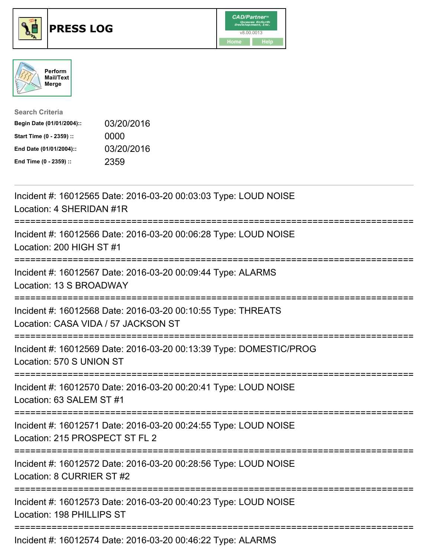





| <b>Search Criteria</b>    |            |
|---------------------------|------------|
| Begin Date (01/01/2004):: | 03/20/2016 |
| Start Time (0 - 2359) ::  | 0000       |
| End Date (01/01/2004)::   | 03/20/2016 |
| End Time (0 - 2359) ::    | 2359       |

| Incident #: 16012565 Date: 2016-03-20 00:03:03 Type: LOUD NOISE<br>Location: 4 SHERIDAN #1R                                    |
|--------------------------------------------------------------------------------------------------------------------------------|
| Incident #: 16012566 Date: 2016-03-20 00:06:28 Type: LOUD NOISE<br>Location: 200 HIGH ST #1                                    |
| Incident #: 16012567 Date: 2016-03-20 00:09:44 Type: ALARMS<br>Location: 13 S BROADWAY                                         |
| Incident #: 16012568 Date: 2016-03-20 00:10:55 Type: THREATS<br>Location: CASA VIDA / 57 JACKSON ST                            |
| Incident #: 16012569 Date: 2016-03-20 00:13:39 Type: DOMESTIC/PROG<br>Location: 570 S UNION ST                                 |
| Incident #: 16012570 Date: 2016-03-20 00:20:41 Type: LOUD NOISE<br>Location: 63 SALEM ST #1                                    |
| Incident #: 16012571 Date: 2016-03-20 00:24:55 Type: LOUD NOISE<br>Location: 215 PROSPECT ST FL 2<br>;======================== |
| Incident #: 16012572 Date: 2016-03-20 00:28:56 Type: LOUD NOISE<br>Location: 8 CURRIER ST #2                                   |
| Incident #: 16012573 Date: 2016-03-20 00:40:23 Type: LOUD NOISE<br>Location: 198 PHILLIPS ST                                   |
| Incident #: 16012574 Date: 2016-03-20 00:46:22 Type: ALARMS                                                                    |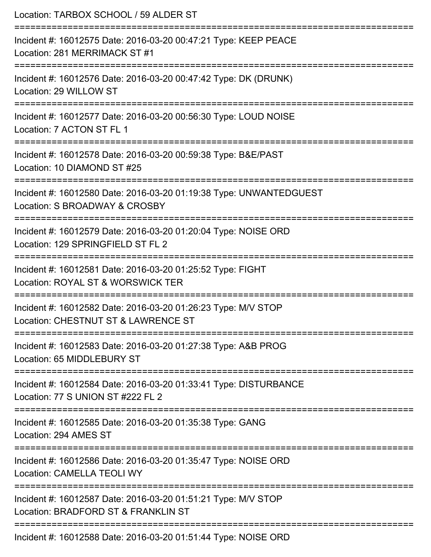| Location: TARBOX SCHOOL / 59 ALDER ST                                                                 |
|-------------------------------------------------------------------------------------------------------|
| Incident #: 16012575 Date: 2016-03-20 00:47:21 Type: KEEP PEACE<br>Location: 281 MERRIMACK ST #1      |
| Incident #: 16012576 Date: 2016-03-20 00:47:42 Type: DK (DRUNK)<br>Location: 29 WILLOW ST             |
| Incident #: 16012577 Date: 2016-03-20 00:56:30 Type: LOUD NOISE<br>Location: 7 ACTON ST FL 1          |
| Incident #: 16012578 Date: 2016-03-20 00:59:38 Type: B&E/PAST<br>Location: 10 DIAMOND ST #25          |
| Incident #: 16012580 Date: 2016-03-20 01:19:38 Type: UNWANTEDGUEST<br>Location: S BROADWAY & CROSBY   |
| Incident #: 16012579 Date: 2016-03-20 01:20:04 Type: NOISE ORD<br>Location: 129 SPRINGFIELD ST FL 2   |
| Incident #: 16012581 Date: 2016-03-20 01:25:52 Type: FIGHT<br>Location: ROYAL ST & WORSWICK TER       |
| Incident #: 16012582 Date: 2016-03-20 01:26:23 Type: M/V STOP<br>Location: CHESTNUT ST & LAWRENCE ST  |
| Incident #: 16012583 Date: 2016-03-20 01:27:38 Type: A&B PROG<br>Location: 65 MIDDLEBURY ST           |
| Incident #: 16012584 Date: 2016-03-20 01:33:41 Type: DISTURBANCE<br>Location: 77 S UNION ST #222 FL 2 |
| Incident #: 16012585 Date: 2016-03-20 01:35:38 Type: GANG<br>Location: 294 AMES ST                    |
| Incident #: 16012586 Date: 2016-03-20 01:35:47 Type: NOISE ORD<br><b>Location: CAMELLA TEOLI WY</b>   |
| Incident #: 16012587 Date: 2016-03-20 01:51:21 Type: M/V STOP<br>Location: BRADFORD ST & FRANKLIN ST  |
| Incident #: 16012588 Date: 2016-03-20 01:51:44 Type: NOISE ORD                                        |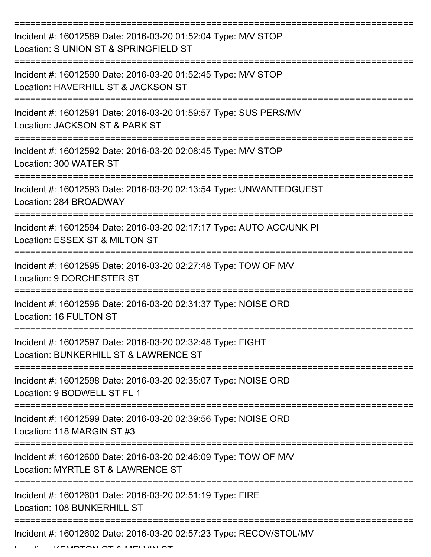| Incident #: 16012589 Date: 2016-03-20 01:52:04 Type: M/V STOP<br>Location: S UNION ST & SPRINGFIELD ST |
|--------------------------------------------------------------------------------------------------------|
| Incident #: 16012590 Date: 2016-03-20 01:52:45 Type: M/V STOP<br>Location: HAVERHILL ST & JACKSON ST   |
| Incident #: 16012591 Date: 2016-03-20 01:59:57 Type: SUS PERS/MV<br>Location: JACKSON ST & PARK ST     |
| Incident #: 16012592 Date: 2016-03-20 02:08:45 Type: M/V STOP<br>Location: 300 WATER ST                |
| Incident #: 16012593 Date: 2016-03-20 02:13:54 Type: UNWANTEDGUEST<br>Location: 284 BROADWAY           |
| Incident #: 16012594 Date: 2016-03-20 02:17:17 Type: AUTO ACC/UNK PI<br>Location: ESSEX ST & MILTON ST |
| Incident #: 16012595 Date: 2016-03-20 02:27:48 Type: TOW OF M/V<br>Location: 9 DORCHESTER ST           |
| Incident #: 16012596 Date: 2016-03-20 02:31:37 Type: NOISE ORD<br>Location: 16 FULTON ST               |
| Incident #: 16012597 Date: 2016-03-20 02:32:48 Type: FIGHT<br>Location: BUNKERHILL ST & LAWRENCE ST    |
| Incident #: 16012598 Date: 2016-03-20 02:35:07 Type: NOISE ORD<br>Location: 9 BODWELL ST FL 1          |
| Incident #: 16012599 Date: 2016-03-20 02:39:56 Type: NOISE ORD<br>Location: 118 MARGIN ST #3           |
| Incident #: 16012600 Date: 2016-03-20 02:46:09 Type: TOW OF M/V<br>Location: MYRTLE ST & LAWRENCE ST   |
| Incident #: 16012601 Date: 2016-03-20 02:51:19 Type: FIRE<br>Location: 108 BUNKERHILL ST               |
| Incident #: 16012602 Date: 2016-03-20 02:57:23 Type: RECOV/STOL/MV                                     |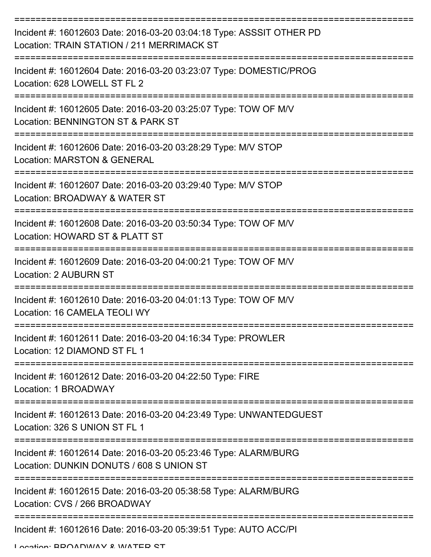| Incident #: 16012603 Date: 2016-03-20 03:04:18 Type: ASSSIT OTHER PD<br>Location: TRAIN STATION / 211 MERRIMACK ST |
|--------------------------------------------------------------------------------------------------------------------|
| Incident #: 16012604 Date: 2016-03-20 03:23:07 Type: DOMESTIC/PROG<br>Location: 628 LOWELL ST FL 2                 |
| Incident #: 16012605 Date: 2016-03-20 03:25:07 Type: TOW OF M/V<br>Location: BENNINGTON ST & PARK ST               |
| Incident #: 16012606 Date: 2016-03-20 03:28:29 Type: M/V STOP<br><b>Location: MARSTON &amp; GENERAL</b>            |
| Incident #: 16012607 Date: 2016-03-20 03:29:40 Type: M/V STOP<br>Location: BROADWAY & WATER ST                     |
| Incident #: 16012608 Date: 2016-03-20 03:50:34 Type: TOW OF M/V<br>Location: HOWARD ST & PLATT ST                  |
| Incident #: 16012609 Date: 2016-03-20 04:00:21 Type: TOW OF M/V<br><b>Location: 2 AUBURN ST</b>                    |
| Incident #: 16012610 Date: 2016-03-20 04:01:13 Type: TOW OF M/V<br>Location: 16 CAMELA TEOLI WY                    |
| Incident #: 16012611 Date: 2016-03-20 04:16:34 Type: PROWLER<br>Location: 12 DIAMOND ST FL 1                       |
| Incident #: 16012612 Date: 2016-03-20 04:22:50 Type: FIRE<br>Location: 1 BROADWAY                                  |
| Incident #: 16012613 Date: 2016-03-20 04:23:49 Type: UNWANTEDGUEST<br>Location: 326 S UNION ST FL 1                |
| Incident #: 16012614 Date: 2016-03-20 05:23:46 Type: ALARM/BURG<br>Location: DUNKIN DONUTS / 608 S UNION ST        |
| Incident #: 16012615 Date: 2016-03-20 05:38:58 Type: ALARM/BURG<br>Location: CVS / 266 BROADWAY                    |
| Incident #: 16012616 Date: 2016-03-20 05:39:51 Type: AUTO ACC/PI                                                   |

Location: BDOADWAY & WATED ST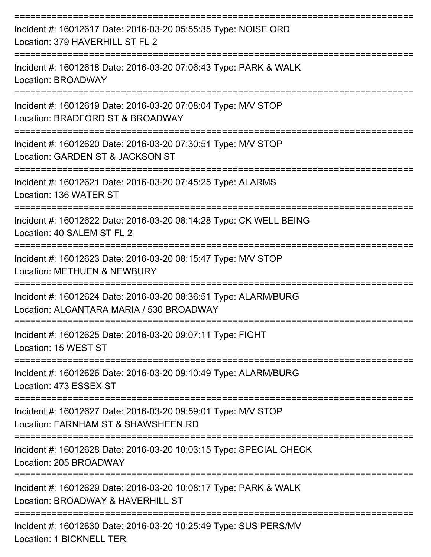| Incident #: 16012617 Date: 2016-03-20 05:55:35 Type: NOISE ORD<br>Location: 379 HAVERHILL ST FL 2           |
|-------------------------------------------------------------------------------------------------------------|
| Incident #: 16012618 Date: 2016-03-20 07:06:43 Type: PARK & WALK<br>Location: BROADWAY                      |
| Incident #: 16012619 Date: 2016-03-20 07:08:04 Type: M/V STOP<br>Location: BRADFORD ST & BROADWAY           |
| Incident #: 16012620 Date: 2016-03-20 07:30:51 Type: M/V STOP<br>Location: GARDEN ST & JACKSON ST           |
| Incident #: 16012621 Date: 2016-03-20 07:45:25 Type: ALARMS<br>Location: 136 WATER ST                       |
| Incident #: 16012622 Date: 2016-03-20 08:14:28 Type: CK WELL BEING<br>Location: 40 SALEM ST FL 2            |
| Incident #: 16012623 Date: 2016-03-20 08:15:47 Type: M/V STOP<br><b>Location: METHUEN &amp; NEWBURY</b>     |
| Incident #: 16012624 Date: 2016-03-20 08:36:51 Type: ALARM/BURG<br>Location: ALCANTARA MARIA / 530 BROADWAY |
| Incident #: 16012625 Date: 2016-03-20 09:07:11 Type: FIGHT<br>Location: 15 WEST ST                          |
| Incident #: 16012626 Date: 2016-03-20 09:10:49 Type: ALARM/BURG<br>Location: 473 ESSEX ST                   |
| Incident #: 16012627 Date: 2016-03-20 09:59:01 Type: M/V STOP<br>Location: FARNHAM ST & SHAWSHEEN RD        |
| Incident #: 16012628 Date: 2016-03-20 10:03:15 Type: SPECIAL CHECK<br>Location: 205 BROADWAY                |
| Incident #: 16012629 Date: 2016-03-20 10:08:17 Type: PARK & WALK<br>Location: BROADWAY & HAVERHILL ST       |
| Incident #: 16012630 Date: 2016-03-20 10:25:49 Type: SUS PERS/MV<br>Location: 1 BICKNELL TER                |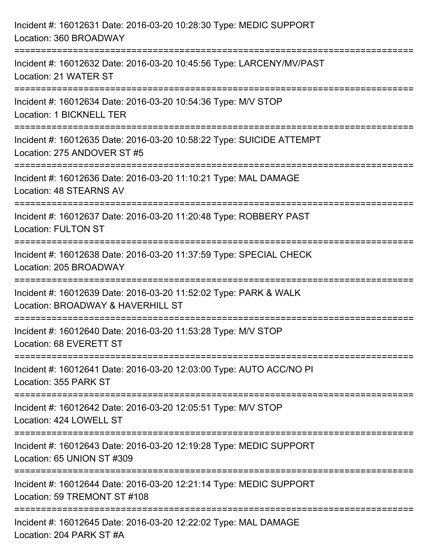| Incident #: 16012631 Date: 2016-03-20 10:28:30 Type: MEDIC SUPPORT<br>Location: 360 BROADWAY                                   |
|--------------------------------------------------------------------------------------------------------------------------------|
| Incident #: 16012632 Date: 2016-03-20 10:45:56 Type: LARCENY/MV/PAST<br>Location: 21 WATER ST                                  |
| =================================<br>Incident #: 16012634 Date: 2016-03-20 10:54:36 Type: M/V STOP<br>Location: 1 BICKNELL TER |
| Incident #: 16012635 Date: 2016-03-20 10:58:22 Type: SUICIDE ATTEMPT<br>Location: 275 ANDOVER ST #5<br>======================  |
| Incident #: 16012636 Date: 2016-03-20 11:10:21 Type: MAL DAMAGE<br>Location: 48 STEARNS AV                                     |
| Incident #: 16012637 Date: 2016-03-20 11:20:48 Type: ROBBERY PAST<br><b>Location: FULTON ST</b>                                |
| Incident #: 16012638 Date: 2016-03-20 11:37:59 Type: SPECIAL CHECK<br>Location: 205 BROADWAY                                   |
| Incident #: 16012639 Date: 2016-03-20 11:52:02 Type: PARK & WALK<br>Location: BROADWAY & HAVERHILL ST                          |
| Incident #: 16012640 Date: 2016-03-20 11:53:28 Type: M/V STOP<br>Location: 68 EVERETT ST                                       |
| Incident #: 16012641 Date: 2016-03-20 12:03:00 Type: AUTO ACC/NO PI<br>Location: 355 PARK ST                                   |
| Incident #: 16012642 Date: 2016-03-20 12:05:51 Type: M/V STOP<br>Location: 424 LOWELL ST                                       |
| Incident #: 16012643 Date: 2016-03-20 12:19:28 Type: MEDIC SUPPORT<br>Location: 65 UNION ST #309                               |
| Incident #: 16012644 Date: 2016-03-20 12:21:14 Type: MEDIC SUPPORT<br>Location: 59 TREMONT ST #108                             |
| Incident #: 16012645 Date: 2016-03-20 12:22:02 Type: MAL DAMAGE<br>Location: 204 PARK ST #A                                    |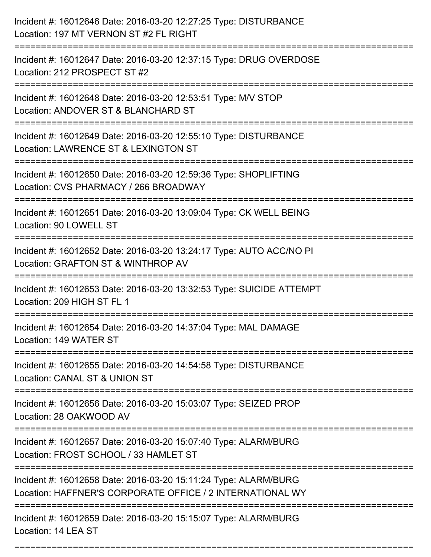| Incident #: 16012646 Date: 2016-03-20 12:27:25 Type: DISTURBANCE<br>Location: 197 MT VERNON ST #2 FL RIGHT                   |
|------------------------------------------------------------------------------------------------------------------------------|
| Incident #: 16012647 Date: 2016-03-20 12:37:15 Type: DRUG OVERDOSE<br>Location: 212 PROSPECT ST #2                           |
| Incident #: 16012648 Date: 2016-03-20 12:53:51 Type: M/V STOP<br>Location: ANDOVER ST & BLANCHARD ST                         |
| Incident #: 16012649 Date: 2016-03-20 12:55:10 Type: DISTURBANCE<br>Location: LAWRENCE ST & LEXINGTON ST                     |
| Incident #: 16012650 Date: 2016-03-20 12:59:36 Type: SHOPLIFTING<br>Location: CVS PHARMACY / 266 BROADWAY                    |
| Incident #: 16012651 Date: 2016-03-20 13:09:04 Type: CK WELL BEING<br>Location: 90 LOWELL ST                                 |
| Incident #: 16012652 Date: 2016-03-20 13:24:17 Type: AUTO ACC/NO PI<br>Location: GRAFTON ST & WINTHROP AV                    |
| Incident #: 16012653 Date: 2016-03-20 13:32:53 Type: SUICIDE ATTEMPT<br>Location: 209 HIGH ST FL 1                           |
| Incident #: 16012654 Date: 2016-03-20 14:37:04 Type: MAL DAMAGE<br>Location: 149 WATER ST                                    |
| Incident #: 16012655 Date: 2016-03-20 14:54:58 Type: DISTURBANCE<br>Location: CANAL ST & UNION ST                            |
| Incident #: 16012656 Date: 2016-03-20 15:03:07 Type: SEIZED PROP<br>Location: 28 OAKWOOD AV                                  |
| Incident #: 16012657 Date: 2016-03-20 15:07:40 Type: ALARM/BURG<br>Location: FROST SCHOOL / 33 HAMLET ST                     |
| Incident #: 16012658 Date: 2016-03-20 15:11:24 Type: ALARM/BURG<br>Location: HAFFNER'S CORPORATE OFFICE / 2 INTERNATIONAL WY |
| Incident #: 16012659 Date: 2016-03-20 15:15:07 Type: ALARM/BURG<br>Location: 14 LEA ST                                       |

===========================================================================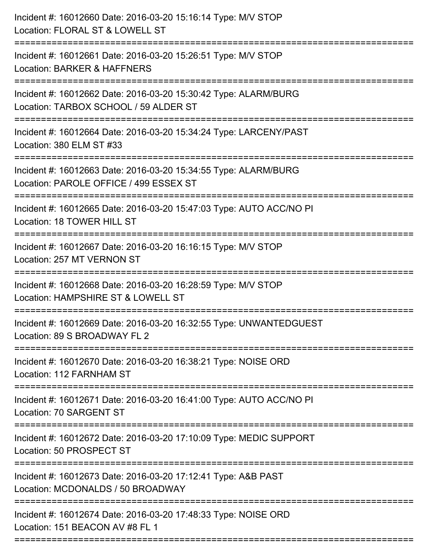| ____________________ | Incident #: 16012660 Date: 2016-03-20 15:16:14 Type: M/V STOP<br>Location: FLORAL ST & LOWELL ST          |
|----------------------|-----------------------------------------------------------------------------------------------------------|
|                      | Incident #: 16012661 Date: 2016-03-20 15:26:51 Type: M/V STOP<br>Location: BARKER & HAFFNERS              |
|                      | Incident #: 16012662 Date: 2016-03-20 15:30:42 Type: ALARM/BURG<br>Location: TARBOX SCHOOL / 59 ALDER ST  |
|                      | Incident #: 16012664 Date: 2016-03-20 15:34:24 Type: LARCENY/PAST<br>Location: 380 ELM ST #33             |
|                      | Incident #: 16012663 Date: 2016-03-20 15:34:55 Type: ALARM/BURG<br>Location: PAROLE OFFICE / 499 ESSEX ST |
|                      | Incident #: 16012665 Date: 2016-03-20 15:47:03 Type: AUTO ACC/NO PI<br>Location: 18 TOWER HILL ST         |
|                      | Incident #: 16012667 Date: 2016-03-20 16:16:15 Type: M/V STOP<br>Location: 257 MT VERNON ST               |
|                      | Incident #: 16012668 Date: 2016-03-20 16:28:59 Type: M/V STOP<br>Location: HAMPSHIRE ST & LOWELL ST       |
|                      | Incident #: 16012669 Date: 2016-03-20 16:32:55 Type: UNWANTEDGUEST<br>Location: 89 S BROADWAY FL 2        |
|                      | Incident #: 16012670 Date: 2016-03-20 16:38:21 Type: NOISE ORD<br>Location: 112 FARNHAM ST                |
|                      | Incident #: 16012671 Date: 2016-03-20 16:41:00 Type: AUTO ACC/NO PI<br>Location: 70 SARGENT ST            |
|                      | Incident #: 16012672 Date: 2016-03-20 17:10:09 Type: MEDIC SUPPORT<br>Location: 50 PROSPECT ST            |
|                      | Incident #: 16012673 Date: 2016-03-20 17:12:41 Type: A&B PAST<br>Location: MCDONALDS / 50 BROADWAY        |
|                      | Incident #: 16012674 Date: 2016-03-20 17:48:33 Type: NOISE ORD<br>Location: 151 BEACON AV #8 FL 1         |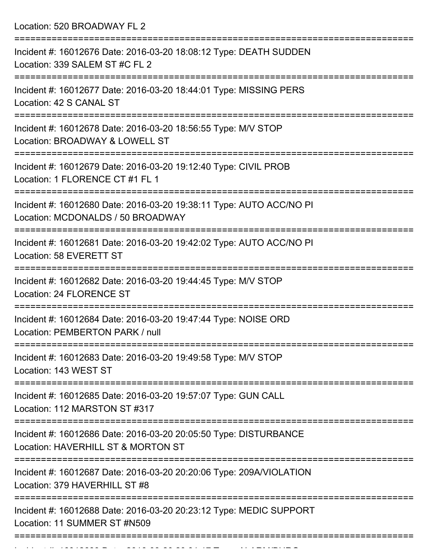Location: 520 BROADWAY FL 2

| Incident #: 16012676 Date: 2016-03-20 18:08:12 Type: DEATH SUDDEN<br>Location: 339 SALEM ST #C FL 2                          |
|------------------------------------------------------------------------------------------------------------------------------|
| Incident #: 16012677 Date: 2016-03-20 18:44:01 Type: MISSING PERS<br>Location: 42 S CANAL ST                                 |
| Incident #: 16012678 Date: 2016-03-20 18:56:55 Type: M/V STOP<br>Location: BROADWAY & LOWELL ST                              |
| Incident #: 16012679 Date: 2016-03-20 19:12:40 Type: CIVIL PROB<br>Location: 1 FLORENCE CT #1 FL 1                           |
| Incident #: 16012680 Date: 2016-03-20 19:38:11 Type: AUTO ACC/NO PI<br>Location: MCDONALDS / 50 BROADWAY                     |
| Incident #: 16012681 Date: 2016-03-20 19:42:02 Type: AUTO ACC/NO PI<br>Location: 58 EVERETT ST                               |
| Incident #: 16012682 Date: 2016-03-20 19:44:45 Type: M/V STOP<br><b>Location: 24 FLORENCE ST</b>                             |
| Incident #: 16012684 Date: 2016-03-20 19:47:44 Type: NOISE ORD<br>Location: PEMBERTON PARK / null                            |
| Incident #: 16012683 Date: 2016-03-20 19:49:58 Type: M/V STOP<br>Location: 143 WEST ST                                       |
| ==========================<br>Incident #: 16012685 Date: 2016-03-20 19:57:07 Type: GUN CALL<br>Location: 112 MARSTON ST #317 |
| Incident #: 16012686 Date: 2016-03-20 20:05:50 Type: DISTURBANCE<br>Location: HAVERHILL ST & MORTON ST                       |
| Incident #: 16012687 Date: 2016-03-20 20:20:06 Type: 209A/VIOLATION<br>Location: 379 HAVERHILL ST #8                         |
| Incident #: 16012688 Date: 2016-03-20 20:23:12 Type: MEDIC SUPPORT<br>Location: 11 SUMMER ST #N509                           |
|                                                                                                                              |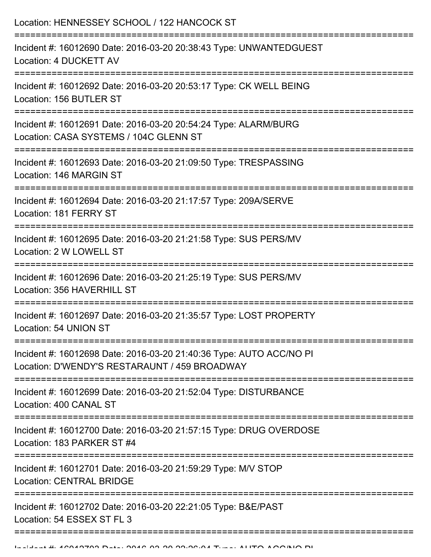| Location: HENNESSEY SCHOOL / 122 HANCOCK ST                                                                                       |
|-----------------------------------------------------------------------------------------------------------------------------------|
| Incident #: 16012690 Date: 2016-03-20 20:38:43 Type: UNWANTEDGUEST<br>Location: 4 DUCKETT AV                                      |
| Incident #: 16012692 Date: 2016-03-20 20:53:17 Type: CK WELL BEING<br>Location: 156 BUTLER ST                                     |
| Incident #: 16012691 Date: 2016-03-20 20:54:24 Type: ALARM/BURG<br>Location: CASA SYSTEMS / 104C GLENN ST<br>:=================== |
| Incident #: 16012693 Date: 2016-03-20 21:09:50 Type: TRESPASSING<br>Location: 146 MARGIN ST                                       |
| Incident #: 16012694 Date: 2016-03-20 21:17:57 Type: 209A/SERVE<br>Location: 181 FERRY ST                                         |
| Incident #: 16012695 Date: 2016-03-20 21:21:58 Type: SUS PERS/MV<br>Location: 2 W LOWELL ST                                       |
| Incident #: 16012696 Date: 2016-03-20 21:25:19 Type: SUS PERS/MV<br>Location: 356 HAVERHILL ST                                    |
| Incident #: 16012697 Date: 2016-03-20 21:35:57 Type: LOST PROPERTY<br>Location: 54 UNION ST                                       |
| Incident #: 16012698 Date: 2016-03-20 21:40:36 Type: AUTO ACC/NO PI<br>Location: D'WENDY'S RESTARAUNT / 459 BROADWAY              |
| Incident #: 16012699 Date: 2016-03-20 21:52:04 Type: DISTURBANCE<br>Location: 400 CANAL ST                                        |
| Incident #: 16012700 Date: 2016-03-20 21:57:15 Type: DRUG OVERDOSE<br>Location: 183 PARKER ST #4                                  |
| Incident #: 16012701 Date: 2016-03-20 21:59:29 Type: M/V STOP<br><b>Location: CENTRAL BRIDGE</b>                                  |
| Incident #: 16012702 Date: 2016-03-20 22:21:05 Type: B&E/PAST<br>Location: 54 ESSEX ST FL 3                                       |